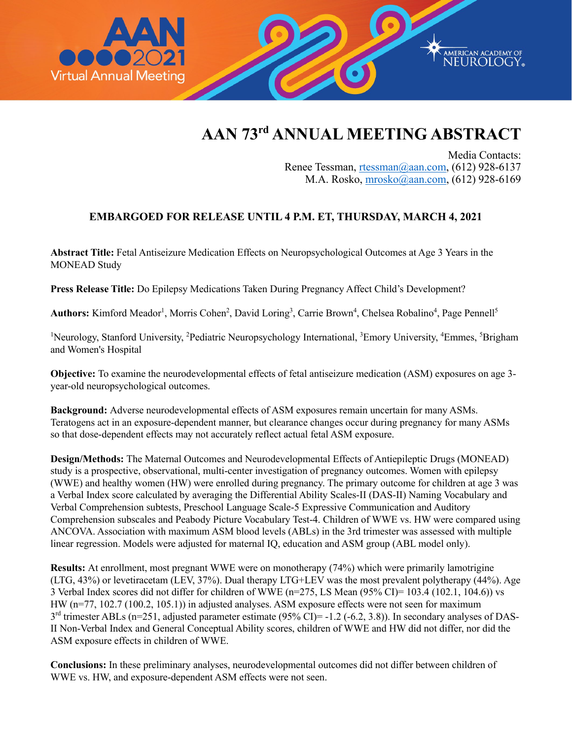

## **AAN 73rd ANNUAL MEETING ABSTRACT**

Media Contacts: Renee Tessman, [rtessman@aan.com,](mailto:rtessman@aan.com) (612) 928-6137 M.A. Rosko, [mrosko@aan.com,](mailto:mrosko@aan.com) (612) 928-6169

## **EMBARGOED FOR RELEASE UNTIL 4 P.M. ET, THURSDAY, MARCH 4, 2021**

**Abstract Title:** Fetal Antiseizure Medication Effects on Neuropsychological Outcomes at Age 3 Years in the MONEAD Study

**Press Release Title:** Do Epilepsy Medications Taken During Pregnancy Affect Child's Development?

Authors: Kimford Meador<sup>1</sup>, Morris Cohen<sup>2</sup>, David Loring<sup>3</sup>, Carrie Brown<sup>4</sup>, Chelsea Robalino<sup>4</sup>, Page Pennell<sup>5</sup>

<sup>1</sup>Neurology, Stanford University, <sup>2</sup>Pediatric Neuropsychology International, <sup>3</sup>Emory University, <sup>4</sup>Emmes, <sup>5</sup>Brigham and Women's Hospital

**Objective:** To examine the neurodevelopmental effects of fetal antiseizure medication (ASM) exposures on age 3 year-old neuropsychological outcomes.

**Background:** Adverse neurodevelopmental effects of ASM exposures remain uncertain for many ASMs. Teratogens act in an exposure-dependent manner, but clearance changes occur during pregnancy for many ASMs so that dose-dependent effects may not accurately reflect actual fetal ASM exposure.

**Design/Methods:** The Maternal Outcomes and Neurodevelopmental Effects of Antiepileptic Drugs (MONEAD) study is a prospective, observational, multi-center investigation of pregnancy outcomes. Women with epilepsy (WWE) and healthy women (HW) were enrolled during pregnancy. The primary outcome for children at age 3 was a Verbal Index score calculated by averaging the Differential Ability Scales-II (DAS-II) Naming Vocabulary and Verbal Comprehension subtests, Preschool Language Scale-5 Expressive Communication and Auditory Comprehension subscales and Peabody Picture Vocabulary Test-4. Children of WWE vs. HW were compared using ANCOVA. Association with maximum ASM blood levels (ABLs) in the 3rd trimester was assessed with multiple linear regression. Models were adjusted for maternal IQ, education and ASM group (ABL model only).

**Results:** At enrollment, most pregnant WWE were on monotherapy (74%) which were primarily lamotrigine (LTG, 43%) or levetiracetam (LEV, 37%). Dual therapy LTG+LEV was the most prevalent polytherapy (44%). Age 3 Verbal Index scores did not differ for children of WWE (n=275, LS Mean (95% CI)= 103.4 (102.1, 104.6)) vs HW (n=77, 102.7 (100.2, 105.1)) in adjusted analyses. ASM exposure effects were not seen for maximum 3<sup>rd</sup> trimester ABLs (n=251, adjusted parameter estimate (95% CI)= -1.2 (-6.2, 3.8)). In secondary analyses of DAS-II Non-Verbal Index and General Conceptual Ability scores, children of WWE and HW did not differ, nor did the ASM exposure effects in children of WWE.

**Conclusions:** In these preliminary analyses, neurodevelopmental outcomes did not differ between children of WWE vs. HW, and exposure-dependent ASM effects were not seen.